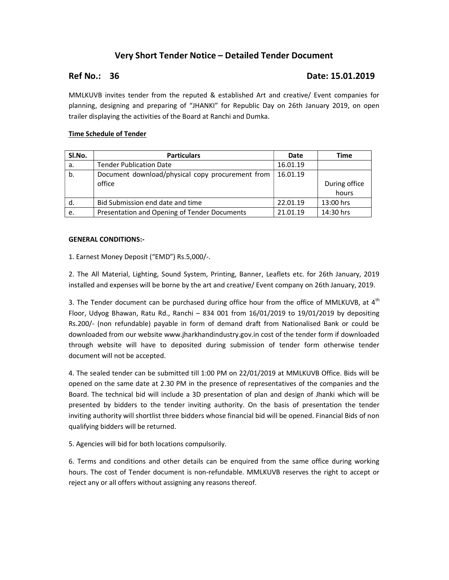# Very Short Tender Notice – Detailed Tender Document

## Ref No.: 36 **Date: 15.01.2019**

MMLKUVB invites tender from the reputed & established Art and creative/ Event companies for planning, designing and preparing of "JHANKI" for Republic Day on 26th January 2019, on open trailer displaying the activities of the Board at Ranchi and Dumka.

## Time Schedule of Tender

| SI.No. | <b>Particulars</b>                               | Date     | Time          |
|--------|--------------------------------------------------|----------|---------------|
| a.     | <b>Tender Publication Date</b>                   | 16.01.19 |               |
| b.     | Document download/physical copy procurement from | 16.01.19 |               |
|        | office                                           |          | During office |
|        |                                                  |          | hours         |
| d.     | Bid Submission end date and time                 | 22.01.19 | 13:00 hrs     |
| e.     | Presentation and Opening of Tender Documents     | 21.01.19 | 14:30 hrs     |

### GENERAL CONDITIONS:-

1. Earnest Money Deposit ("EMD") Rs.5,000/-.

2. The All Material, Lighting, Sound System, Printing, Banner, Leaflets etc. for 26th January, 2019 installed and expenses will be borne by the art and creative/ Event company on 26th January, 2019.

3. The Tender document can be purchased during office hour from the office of MMLKUVB, at  $4<sup>th</sup>$ Floor, Udyog Bhawan, Ratu Rd., Ranchi – 834 001 from 16/01/2019 to 19/01/2019 by depositing Rs.200/- (non refundable) payable in form of demand draft from Nationalised Bank or could be downloaded from our website www.jharkhandindustry.gov.in cost of the tender form if downloaded through website will have to deposited during submission of tender form otherwise tender document will not be accepted.

4. The sealed tender can be submitted till 1:00 PM on 22/01/2019 at MMLKUVB Office. Bids will be opened on the same date at 2.30 PM in the presence of representatives of the companies and the Board. The technical bid will include a 3D presentation of plan and design of Jhanki which will be presented by bidders to the tender inviting authority. On the basis of presentation the tender inviting authority will shortlist three bidders whose financial bid will be opened. Financial Bids of non qualifying bidders will be returned.

5. Agencies will bid for both locations compulsorily.

6. Terms and conditions and other details can be enquired from the same office during working hours. The cost of Tender document is non-refundable. MMLKUVB reserves the right to accept or reject any or all offers without assigning any reasons thereof.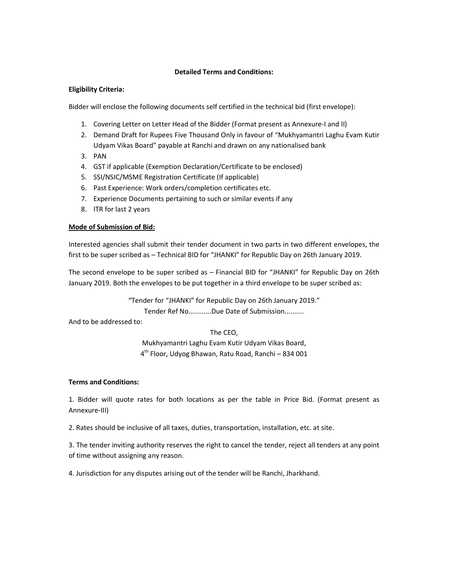### Detailed Terms and Conditions:

## Eligibility Criteria:

Bidder will enclose the following documents self certified in the technical bid (first envelope):

- 1. Covering Letter on Letter Head of the Bidder (Format present as Annexure-I and II)
- 2. Demand Draft for Rupees Five Thousand Only in favour of "Mukhyamantri Laghu Evam Kutir Udyam Vikas Board" payable at Ranchi and drawn on any nationalised bank
- 3. PAN
- 4. GST if applicable (Exemption Declaration/Certificate to be enclosed)
- 5. SSI/NSIC/MSME Registration Certificate (If applicable)
- 6. Past Experience: Work orders/completion certificates etc.
- 7. Experience Documents pertaining to such or similar events if any
- 8. ITR for last 2 years

## Mode of Submission of Bid:

Interested agencies shall submit their tender document in two parts in two different envelopes, the first to be super scribed as – Technical BID for "JHANKI" for Republic Day on 26th January 2019.

The second envelope to be super scribed as – Financial BID for "JHANKI" for Republic Day on 26th January 2019. Both the envelopes to be put together in a third envelope to be super scribed as:

"Tender for "JHANKI" for Republic Day on 26th January 2019."

Tender Ref No............Due Date of Submission..........

And to be addressed to:

The CEO,

Mukhyamantri Laghu Evam Kutir Udyam Vikas Board, 4 th Floor, Udyog Bhawan, Ratu Road, Ranchi – 834 001

## Terms and Conditions:

1. Bidder will quote rates for both locations as per the table in Price Bid. (Format present as Annexure-III)

2. Rates should be inclusive of all taxes, duties, transportation, installation, etc. at site.

3. The tender inviting authority reserves the right to cancel the tender, reject all tenders at any point of time without assigning any reason.

4. Jurisdiction for any disputes arising out of the tender will be Ranchi, Jharkhand.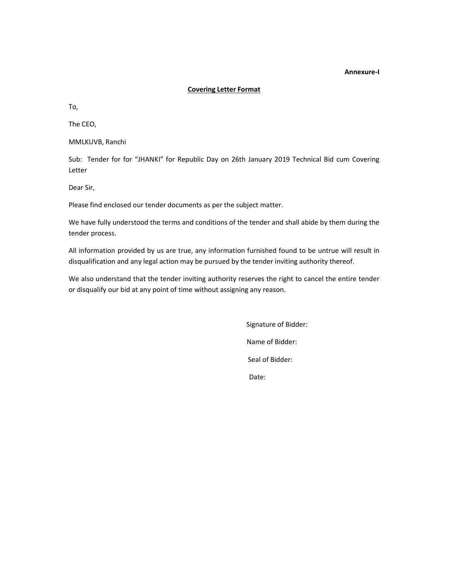#### Annexure-I

#### Covering Letter Format

To,

The CEO,

MMLKUVB, Ranchi

Sub: Tender for for "JHANKI" for Republic Day on 26th January 2019 Technical Bid cum Covering Letter

Dear Sir,

Please find enclosed our tender documents as per the subject matter.

We have fully understood the terms and conditions of the tender and shall abide by them during the tender process.

All information provided by us are true, any information furnished found to be untrue will result in disqualification and any legal action may be pursued by the tender inviting authority thereof.

We also understand that the tender inviting authority reserves the right to cancel the entire tender or disqualify our bid at any point of time without assigning any reason.

> Signature of Bidder: Name of Bidder: Seal of Bidder: Date: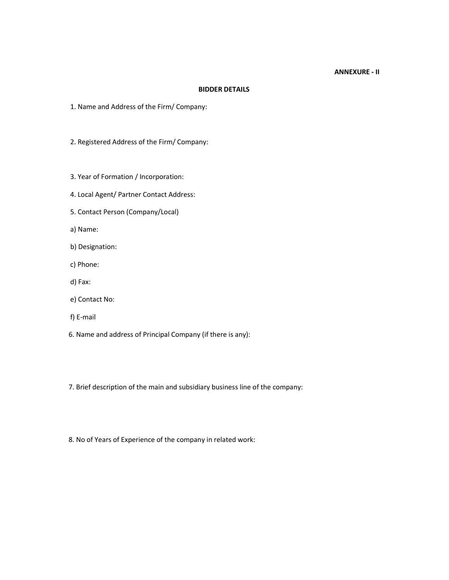#### ANNEXURE - II

### BIDDER DETAILS

- 1. Name and Address of the Firm/ Company:
- 2. Registered Address of the Firm/ Company:
- 3. Year of Formation / Incorporation:
- 4. Local Agent/ Partner Contact Address:
- 5. Contact Person (Company/Local)
- a) Name:
- b) Designation:
- c) Phone:
- d) Fax:
- e) Contact No:
- f) E-mail
- 6. Name and address of Principal Company (if there is any):

7. Brief description of the main and subsidiary business line of the company:

8. No of Years of Experience of the company in related work: